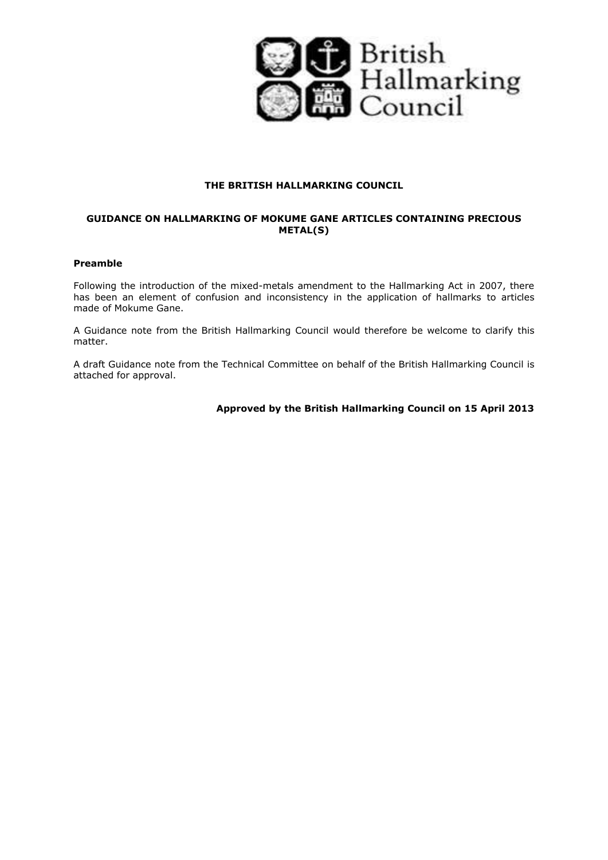

### **THE BRITISH HALLMARKING COUNCIL**

# **GUIDANCE ON HALLMARKING OF MOKUME GANE ARTICLES CONTAINING PRECIOUS METAL(S)**

#### **Preamble**

Following the introduction of the mixed-metals amendment to the Hallmarking Act in 2007, there has been an element of confusion and inconsistency in the application of hallmarks to articles made of Mokume Gane.

A Guidance note from the British Hallmarking Council would therefore be welcome to clarify this matter.

A draft Guidance note from the Technical Committee on behalf of the British Hallmarking Council is attached for approval.

**Approved by the British Hallmarking Council on 15 April 2013**